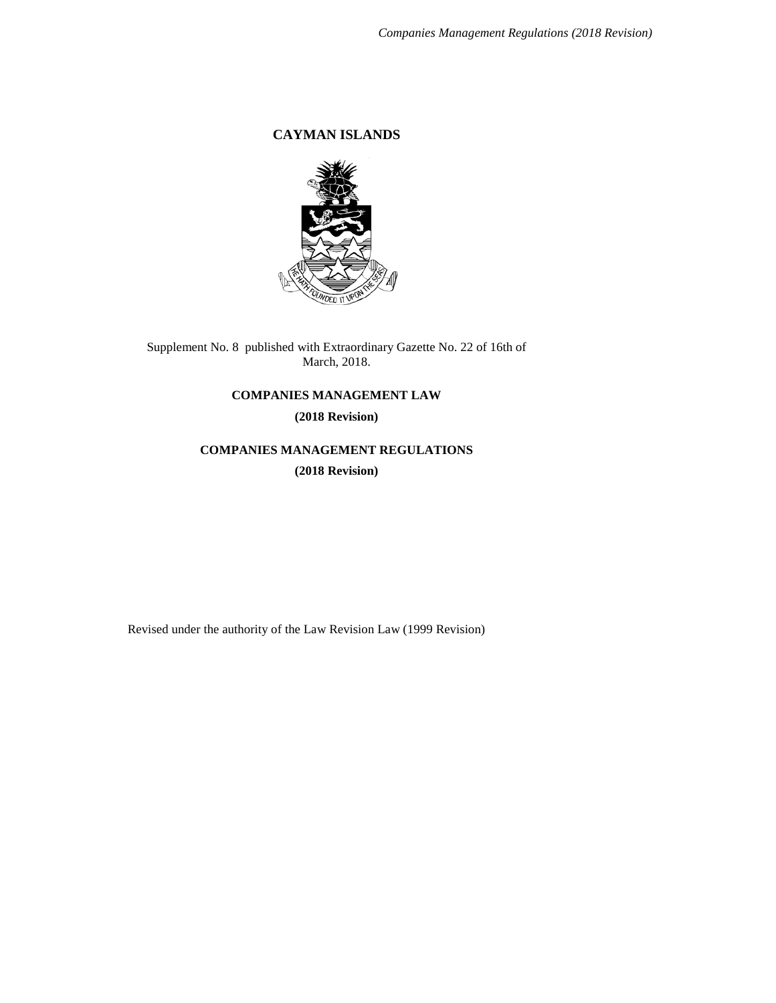## **CAYMAN ISLANDS**



Supplement No. 8 published with Extraordinary Gazette No. 22 of 16th of March, 2018.

### **COMPANIES MANAGEMENT LAW**

**(2018 Revision)**

## **COMPANIES MANAGEMENT REGULATIONS**

**(2018 Revision)**

Revised under the authority of the Law Revision Law (1999 Revision)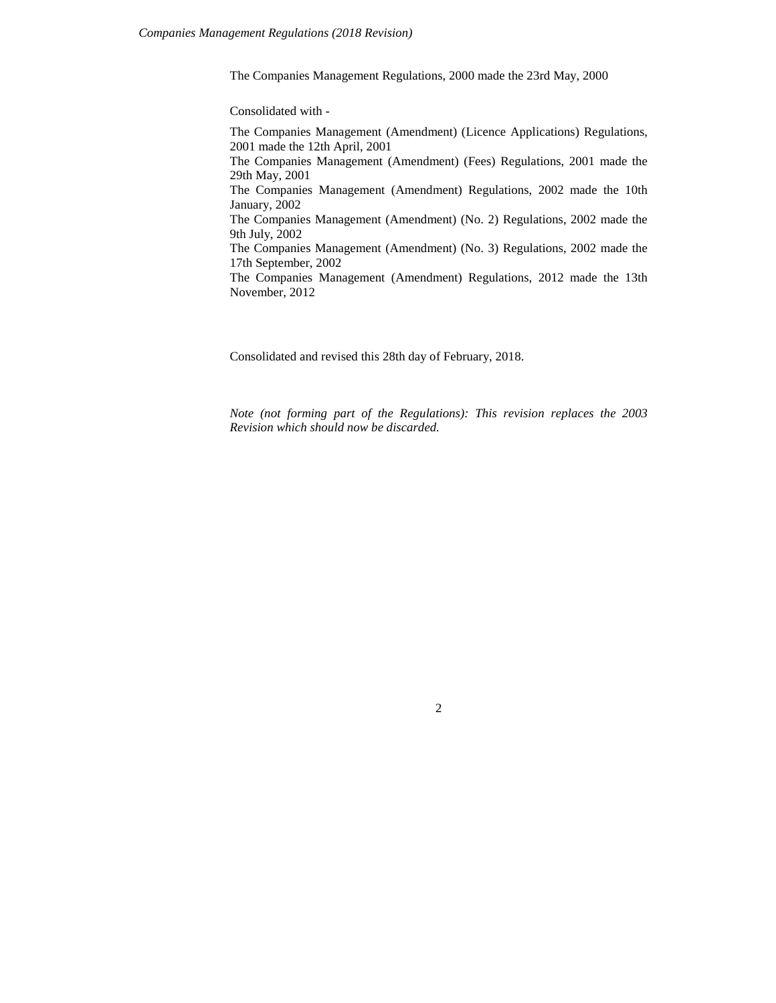The Companies Management Regulations, 2000 made the 23rd May, 2000

Consolidated with -

The Companies Management (Amendment) (Licence Applications) Regulations, 2001 made the 12th April, 2001 The Companies Management (Amendment) (Fees) Regulations, 2001 made the 29th May, 2001 The Companies Management (Amendment) Regulations, 2002 made the 10th January, 2002 The Companies Management (Amendment) (No. 2) Regulations, 2002 made the 9th July, 2002 The Companies Management (Amendment) (No. 3) Regulations, 2002 made the 17th September, 2002 The Companies Management (Amendment) Regulations, 2012 made the 13th November, 2012

Consolidated and revised this 28th day of February, 2018.

*Note (not forming part of the Regulations): This revision replaces the 2003 Revision which should now be discarded.*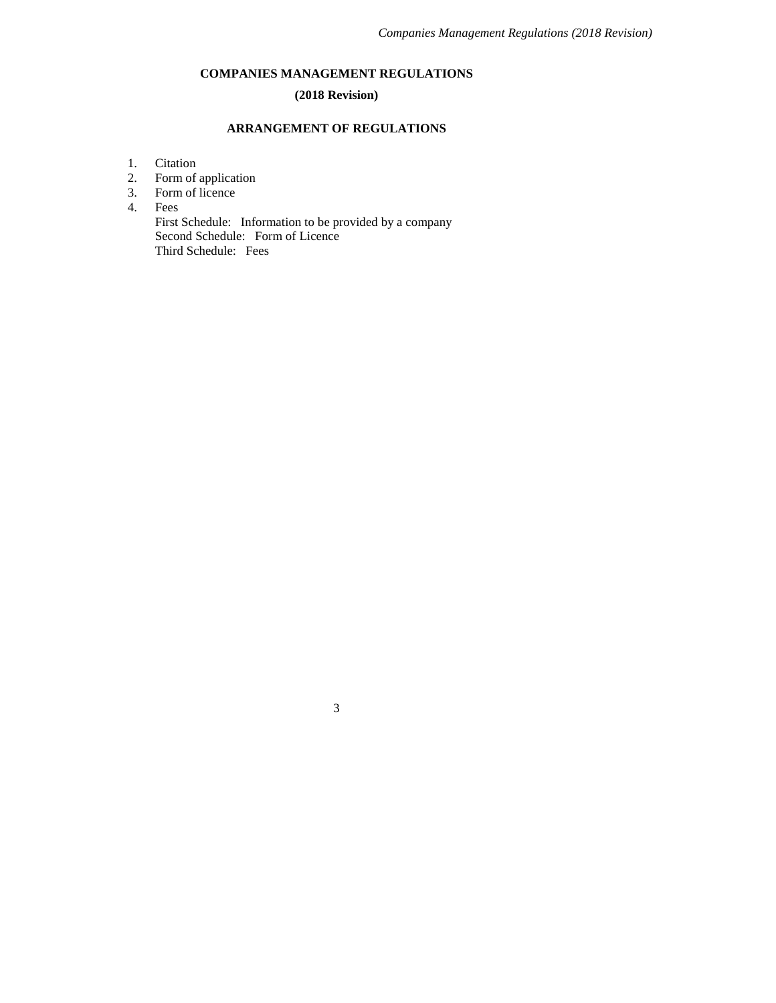# **COMPANIES MANAGEMENT REGULATIONS**

## **(2018 Revision)**

## **ARRANGEMENT OF REGULATIONS**

- 1. Citation
- 2. Form of application
- 3. Form of licence
- 4. Fees

First Schedule: Information to be provided by a company Second Schedule: Form of Licence Third Schedule: Fees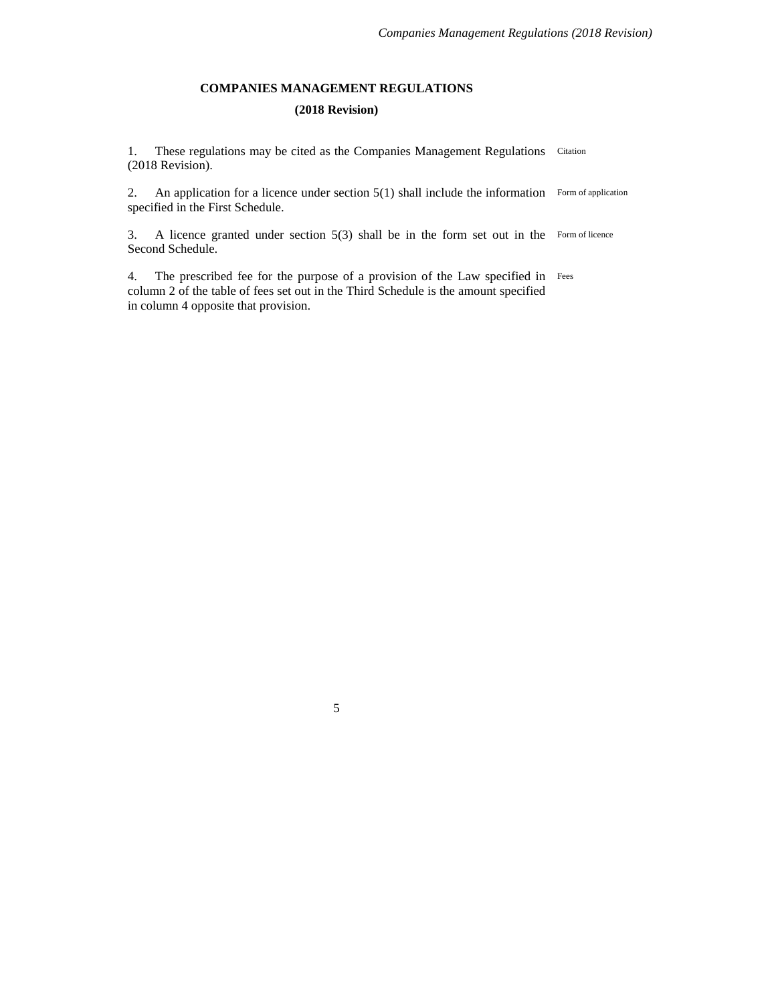# **COMPANIES MANAGEMENT REGULATIONS (2018 Revision)**

1. These regulations may be cited as the Companies Management Regulations Citation (2018 Revision).

2. An application for a licence under section 5(1) shall include the information Form of application specified in the First Schedule.

3. A licence granted under section 5(3) shall be in the form set out in the Form of licence Second Schedule.

4. The prescribed fee for the purpose of a provision of the Law specified in Feescolumn 2 of the table of fees set out in the Third Schedule is the amount specified in column 4 opposite that provision.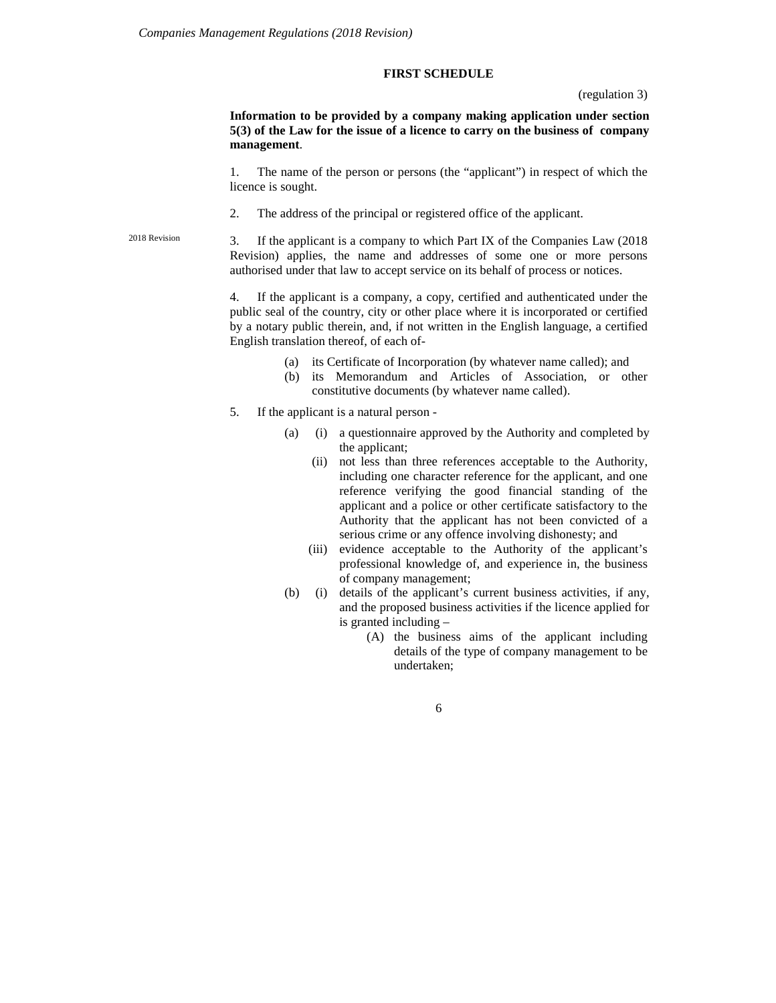2018 Revision

### **FIRST SCHEDULE**

#### (regulation 3)

**Information to be provided by a company making application under section 5(3) of the Law for the issue of a licence to carry on the business of company management**.

1. The name of the person or persons (the "applicant") in respect of which the licence is sought.

2. The address of the principal or registered office of the applicant.

3. If the applicant is a company to which Part IX of the Companies Law (2018 Revision) applies, the name and addresses of some one or more persons authorised under that law to accept service on its behalf of process or notices.

4. If the applicant is a company, a copy, certified and authenticated under the public seal of the country, city or other place where it is incorporated or certified by a notary public therein, and, if not written in the English language, a certified English translation thereof, of each of-

- (a) its Certificate of Incorporation (by whatever name called); and
- (b) its Memorandum and Articles of Association, or other constitutive documents (by whatever name called).
- 5. If the applicant is a natural person
	- (a) (i) a questionnaire approved by the Authority and completed by the applicant;
		- (ii) not less than three references acceptable to the Authority, including one character reference for the applicant, and one reference verifying the good financial standing of the applicant and a police or other certificate satisfactory to the Authority that the applicant has not been convicted of a serious crime or any offence involving dishonesty; and
		- (iii) evidence acceptable to the Authority of the applicant's professional knowledge of, and experience in, the business of company management;
	- (b) (i) details of the applicant's current business activities, if any, and the proposed business activities if the licence applied for is granted including –
		- (A) the business aims of the applicant including details of the type of company management to be undertaken;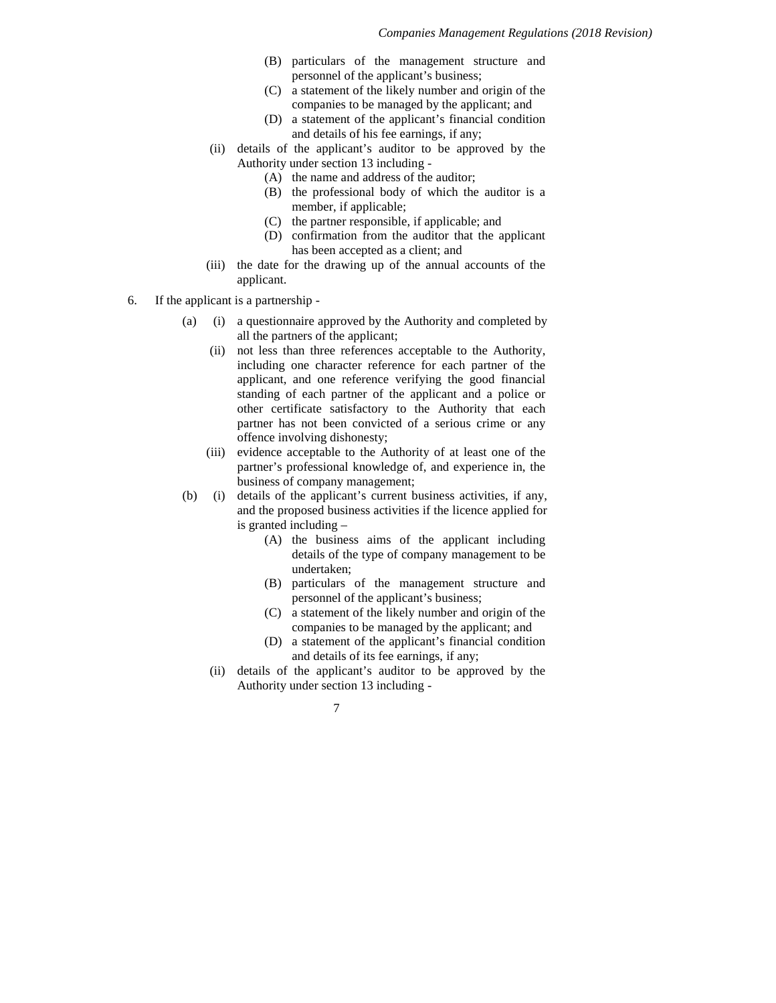- (B) particulars of the management structure and personnel of the applicant's business;
- (C) a statement of the likely number and origin of the companies to be managed by the applicant; and
- (D) a statement of the applicant's financial condition and details of his fee earnings, if any;
- (ii) details of the applicant's auditor to be approved by the Authority under section 13 including -
	- (A) the name and address of the auditor;
	- (B) the professional body of which the auditor is a member, if applicable;
	- (C) the partner responsible, if applicable; and
	- (D) confirmation from the auditor that the applicant has been accepted as a client; and
- (iii) the date for the drawing up of the annual accounts of the applicant.
- 6. If the applicant is a partnership
	- (a) (i) a questionnaire approved by the Authority and completed by all the partners of the applicant;
		- (ii) not less than three references acceptable to the Authority, including one character reference for each partner of the applicant, and one reference verifying the good financial standing of each partner of the applicant and a police or other certificate satisfactory to the Authority that each partner has not been convicted of a serious crime or any offence involving dishonesty;
		- (iii) evidence acceptable to the Authority of at least one of the partner's professional knowledge of, and experience in, the business of company management;
	- (b) (i) details of the applicant's current business activities, if any, and the proposed business activities if the licence applied for is granted including –
		- (A) the business aims of the applicant including details of the type of company management to be undertaken;
		- (B) particulars of the management structure and personnel of the applicant's business;
		- (C) a statement of the likely number and origin of the companies to be managed by the applicant; and
		- (D) a statement of the applicant's financial condition and details of its fee earnings, if any;
		- (ii) details of the applicant's auditor to be approved by the Authority under section 13 including -
			- 7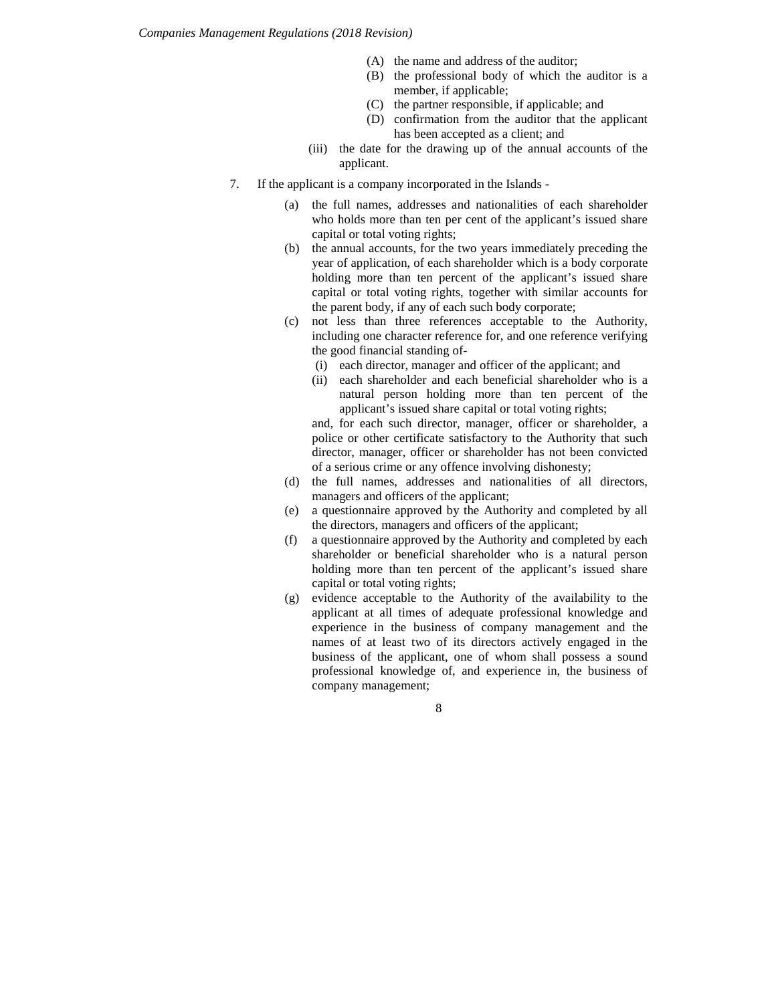- (A) the name and address of the auditor;
- (B) the professional body of which the auditor is a member, if applicable;
- (C) the partner responsible, if applicable; and
- (D) confirmation from the auditor that the applicant has been accepted as a client; and
- (iii) the date for the drawing up of the annual accounts of the applicant.
- 7. If the applicant is a company incorporated in the Islands
	- (a) the full names, addresses and nationalities of each shareholder who holds more than ten per cent of the applicant's issued share capital or total voting rights;
	- (b) the annual accounts, for the two years immediately preceding the year of application, of each shareholder which is a body corporate holding more than ten percent of the applicant's issued share capital or total voting rights, together with similar accounts for the parent body, if any of each such body corporate;
	- (c) not less than three references acceptable to the Authority, including one character reference for, and one reference verifying the good financial standing of-
		- (i) each director, manager and officer of the applicant; and
		- (ii) each shareholder and each beneficial shareholder who is a natural person holding more than ten percent of the applicant's issued share capital or total voting rights;

and, for each such director, manager, officer or shareholder, a police or other certificate satisfactory to the Authority that such director, manager, officer or shareholder has not been convicted of a serious crime or any offence involving dishonesty;

- (d) the full names, addresses and nationalities of all directors, managers and officers of the applicant;
- (e) a questionnaire approved by the Authority and completed by all the directors, managers and officers of the applicant;
- (f) a questionnaire approved by the Authority and completed by each shareholder or beneficial shareholder who is a natural person holding more than ten percent of the applicant's issued share capital or total voting rights;
- (g) evidence acceptable to the Authority of the availability to the applicant at all times of adequate professional knowledge and experience in the business of company management and the names of at least two of its directors actively engaged in the business of the applicant, one of whom shall possess a sound professional knowledge of, and experience in, the business of company management;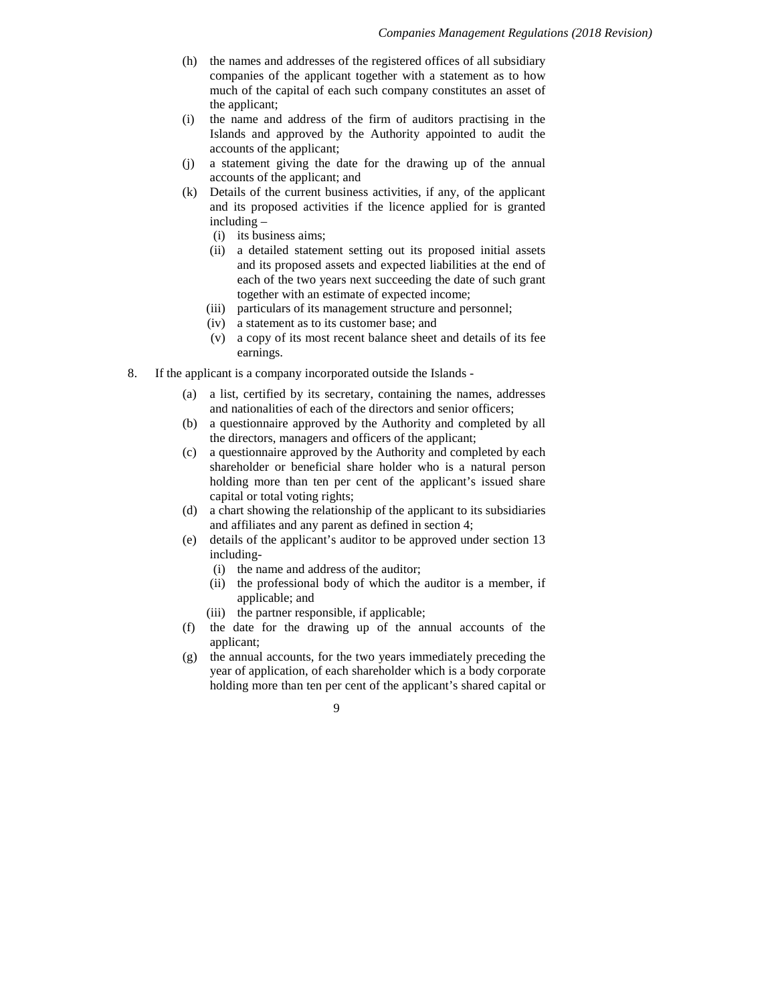- (h) the names and addresses of the registered offices of all subsidiary companies of the applicant together with a statement as to how much of the capital of each such company constitutes an asset of the applicant;
- (i) the name and address of the firm of auditors practising in the Islands and approved by the Authority appointed to audit the accounts of the applicant;
- (j) a statement giving the date for the drawing up of the annual accounts of the applicant; and
- (k) Details of the current business activities, if any, of the applicant and its proposed activities if the licence applied for is granted including –
	- (i) its business aims;
	- (ii) a detailed statement setting out its proposed initial assets and its proposed assets and expected liabilities at the end of each of the two years next succeeding the date of such grant together with an estimate of expected income;
	- (iii) particulars of its management structure and personnel;
	- (iv) a statement as to its customer base; and
	- (v) a copy of its most recent balance sheet and details of its fee earnings.
- 8. If the applicant is a company incorporated outside the Islands
	- (a) a list, certified by its secretary, containing the names, addresses and nationalities of each of the directors and senior officers;
	- (b) a questionnaire approved by the Authority and completed by all the directors, managers and officers of the applicant;
	- (c) a questionnaire approved by the Authority and completed by each shareholder or beneficial share holder who is a natural person holding more than ten per cent of the applicant's issued share capital or total voting rights;
	- (d) a chart showing the relationship of the applicant to its subsidiaries and affiliates and any parent as defined in section 4;
	- (e) details of the applicant's auditor to be approved under section 13 including-
		- (i) the name and address of the auditor;
		- (ii) the professional body of which the auditor is a member, if applicable; and
		- (iii) the partner responsible, if applicable;
	- (f) the date for the drawing up of the annual accounts of the applicant;
	- (g) the annual accounts, for the two years immediately preceding the year of application, of each shareholder which is a body corporate holding more than ten per cent of the applicant's shared capital or

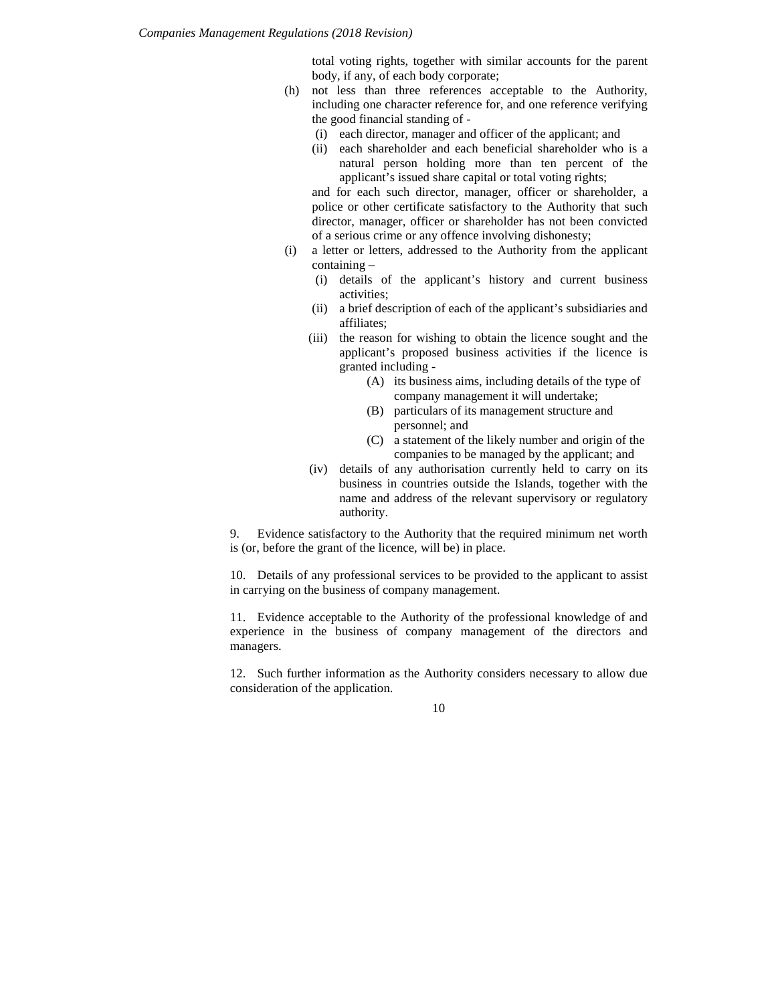total voting rights, together with similar accounts for the parent body, if any, of each body corporate;

- (h) not less than three references acceptable to the Authority, including one character reference for, and one reference verifying the good financial standing of -
	- (i) each director, manager and officer of the applicant; and
	- (ii) each shareholder and each beneficial shareholder who is a natural person holding more than ten percent of the applicant's issued share capital or total voting rights;

and for each such director, manager, officer or shareholder, a police or other certificate satisfactory to the Authority that such director, manager, officer or shareholder has not been convicted of a serious crime or any offence involving dishonesty;

- (i) a letter or letters, addressed to the Authority from the applicant containing –
	- (i) details of the applicant's history and current business activities;
	- (ii) a brief description of each of the applicant's subsidiaries and affiliates;
	- (iii) the reason for wishing to obtain the licence sought and the applicant's proposed business activities if the licence is granted including -
		- (A) its business aims, including details of the type of company management it will undertake;
		- (B) particulars of its management structure and personnel; and
		- (C) a statement of the likely number and origin of the companies to be managed by the applicant; and
	- (iv) details of any authorisation currently held to carry on its business in countries outside the Islands, together with the name and address of the relevant supervisory or regulatory authority.

9. Evidence satisfactory to the Authority that the required minimum net worth is (or, before the grant of the licence, will be) in place.

10. Details of any professional services to be provided to the applicant to assist in carrying on the business of company management.

11. Evidence acceptable to the Authority of the professional knowledge of and experience in the business of company management of the directors and managers.

12. Such further information as the Authority considers necessary to allow due consideration of the application.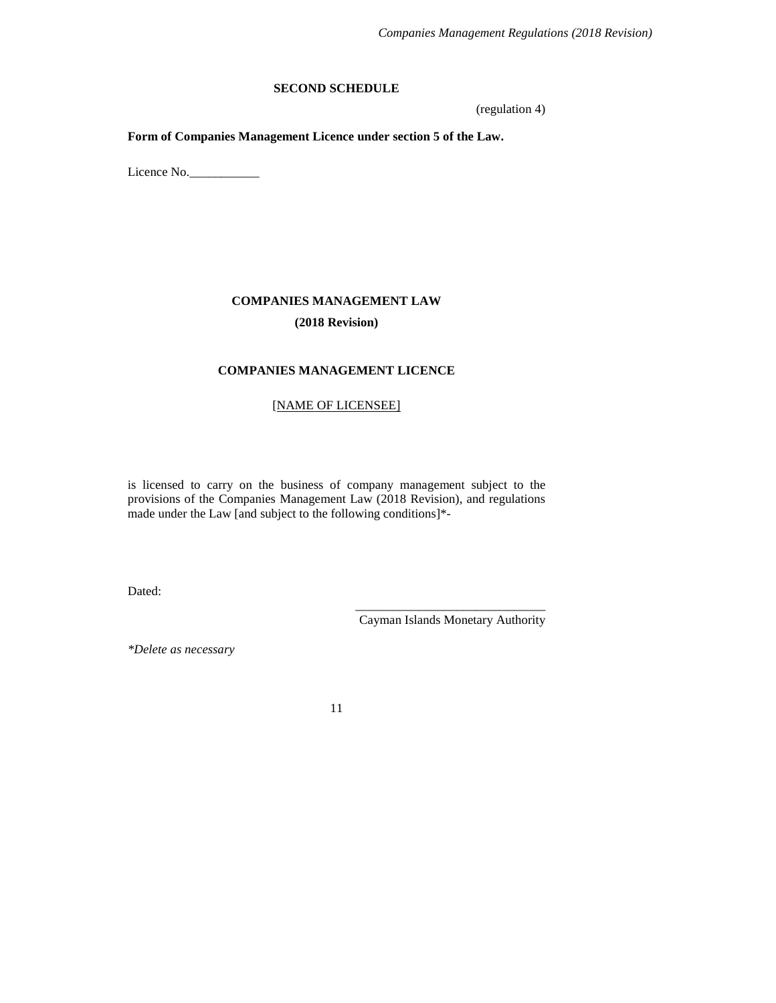### **SECOND SCHEDULE**

(regulation 4)

**Form of Companies Management Licence under section 5 of the Law.**

Licence No.

# **COMPANIES MANAGEMENT LAW (2018 Revision)**

## **COMPANIES MANAGEMENT LICENCE**

## [NAME OF LICENSEE]

is licensed to carry on the business of company management subject to the provisions of the Companies Management Law (2018 Revision), and regulations made under the Law [and subject to the following conditions]\*-

Dated:

\_\_\_\_\_\_\_\_\_\_\_\_\_\_\_\_\_\_\_\_\_\_\_\_\_\_\_\_\_\_ Cayman Islands Monetary Authority

*\*Delete as necessary*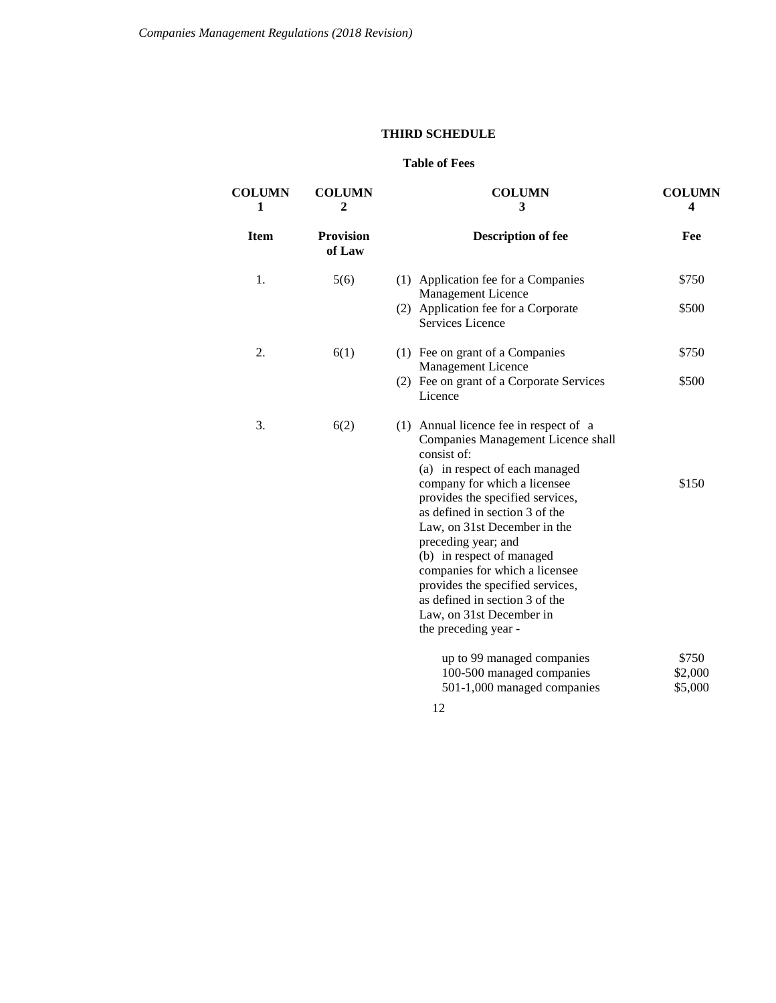# **THIRD SCHEDULE**

## **Table of Fees**

| <b>COLUMN</b><br>1 | <b>COLUMN</b><br>2         | <b>COLUMN</b><br>3                                                                                                                                                                                                                                                                                                                                                                            | <b>COLUMN</b><br>4          |
|--------------------|----------------------------|-----------------------------------------------------------------------------------------------------------------------------------------------------------------------------------------------------------------------------------------------------------------------------------------------------------------------------------------------------------------------------------------------|-----------------------------|
| <b>Item</b>        | <b>Provision</b><br>of Law | <b>Description of fee</b>                                                                                                                                                                                                                                                                                                                                                                     | Fee                         |
| 1.                 | 5(6)                       | (1) Application fee for a Companies<br>Management Licence                                                                                                                                                                                                                                                                                                                                     | \$750                       |
|                    |                            | (2) Application fee for a Corporate<br>Services Licence                                                                                                                                                                                                                                                                                                                                       | \$500                       |
| 2.                 | 6(1)                       | (1) Fee on grant of a Companies<br>Management Licence                                                                                                                                                                                                                                                                                                                                         | \$750                       |
|                    |                            | (2) Fee on grant of a Corporate Services<br>Licence                                                                                                                                                                                                                                                                                                                                           | \$500                       |
| 3.                 | 6(2)                       | (1) Annual licence fee in respect of a<br>Companies Management Licence shall<br>consist of:<br>(a) in respect of each managed<br>company for which a licensee<br>provides the specified services,<br>as defined in section 3 of the<br>Law, on 31st December in the<br>preceding year; and<br>(b) in respect of managed<br>companies for which a licensee<br>provides the specified services, | \$150                       |
|                    |                            | as defined in section 3 of the<br>Law, on 31st December in<br>the preceding year -                                                                                                                                                                                                                                                                                                            |                             |
|                    |                            | up to 99 managed companies<br>100-500 managed companies<br>501-1,000 managed companies                                                                                                                                                                                                                                                                                                        | \$750<br>\$2,000<br>\$5,000 |
|                    |                            | 12                                                                                                                                                                                                                                                                                                                                                                                            |                             |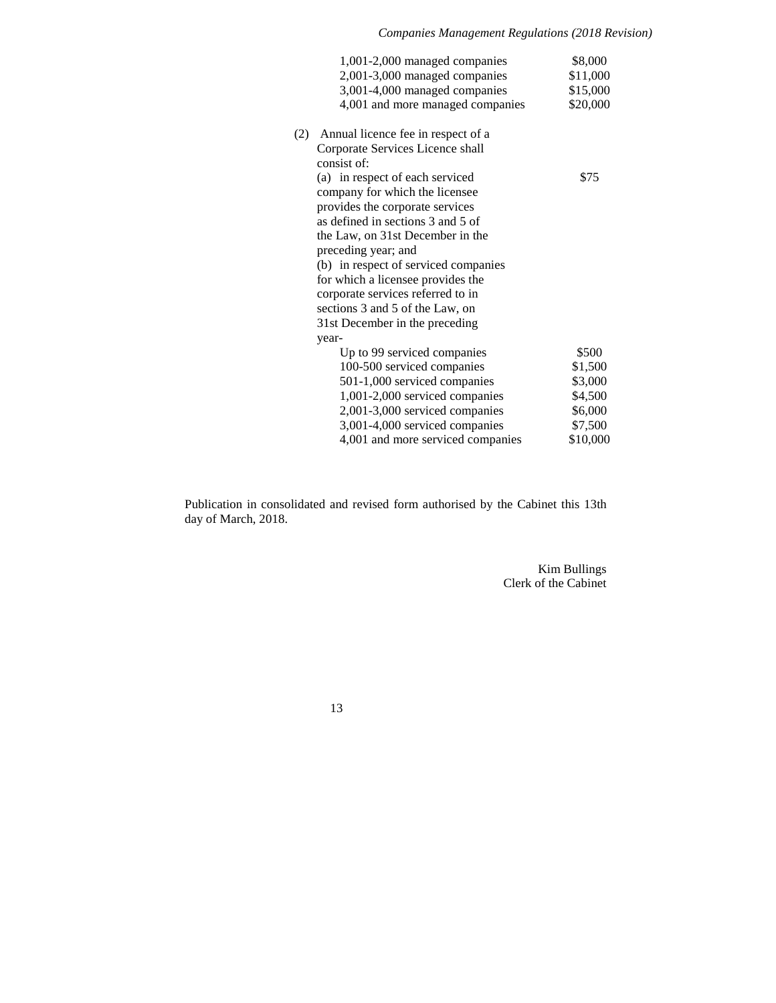|     | 1,001-2,000 managed companies                   | \$8,000  |
|-----|-------------------------------------------------|----------|
|     | 2,001-3,000 managed companies                   | \$11,000 |
|     | 3,001-4,000 managed companies                   | \$15,000 |
|     | 4,001 and more managed companies                | \$20,000 |
| (2) | Annual licence fee in respect of a              |          |
|     | Corporate Services Licence shall<br>consist of: |          |
|     | (a) in respect of each serviced                 | \$75     |
|     | company for which the licensee                  |          |
|     | provides the corporate services                 |          |
|     | as defined in sections 3 and 5 of               |          |
|     | the Law, on 31st December in the                |          |
|     | preceding year; and                             |          |
|     | (b) in respect of serviced companies            |          |
|     | for which a licensee provides the               |          |
|     | corporate services referred to in               |          |
|     | sections 3 and 5 of the Law, on                 |          |
|     | 31st December in the preceding                  |          |
|     | year-                                           |          |
|     | Up to 99 serviced companies                     | \$500    |
|     | 100-500 serviced companies                      | \$1,500  |
|     | 501-1,000 serviced companies                    | \$3,000  |
|     | 1,001-2,000 serviced companies                  | \$4,500  |
|     | 2,001-3,000 serviced companies                  | \$6,000  |
|     | 3,001-4,000 serviced companies                  | \$7,500  |
|     | 4,001 and more serviced companies               | \$10,000 |

Publication in consolidated and revised form authorised by the Cabinet this 13th day of March, 2018.

> Kim Bullings Clerk of the Cabinet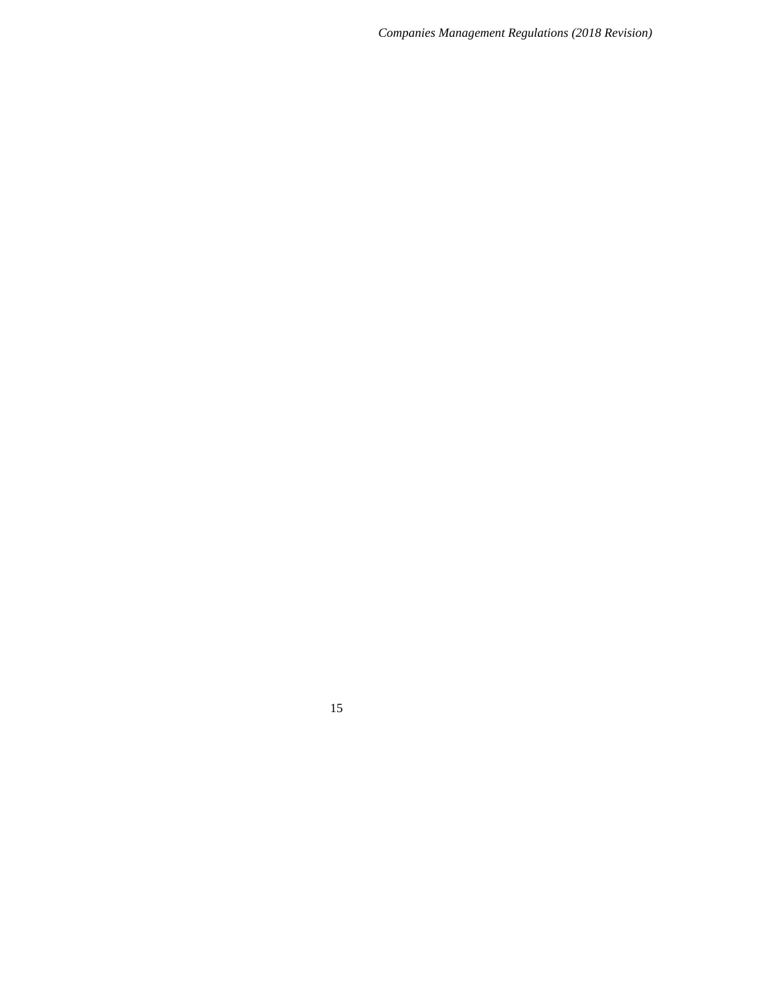15